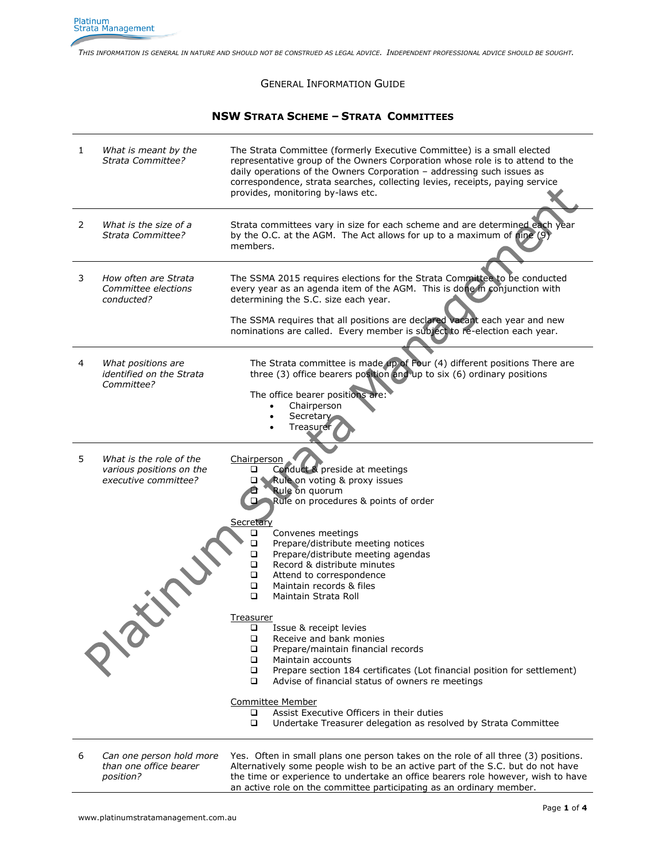*THIS INFORMATION IS GENERAL IN NATURE AND SHOULD NOT BE CONSTRUED AS LEGAL ADVICE. INDEPENDENT PROFESSIONAL ADVICE SHOULD BE SOUGHT.*

## GENERAL INFORMATION GUIDE

## **NSW STRATA SCHEME – STRATA COMMITTEES**

| 1  | What is meant by the<br>Strata Committee?                                   | The Strata Committee (formerly Executive Committee) is a small elected<br>representative group of the Owners Corporation whose role is to attend to the<br>daily operations of the Owners Corporation - addressing such issues as<br>correspondence, strata searches, collecting levies, receipts, paying service<br>provides, monitoring by-laws etc. |
|----|-----------------------------------------------------------------------------|--------------------------------------------------------------------------------------------------------------------------------------------------------------------------------------------------------------------------------------------------------------------------------------------------------------------------------------------------------|
| 2  | What is the size of a<br>Strata Committee?                                  | Strata committees vary in size for each scheme and are determined each year<br>by the O.C. at the AGM. The Act allows for up to a maximum of nine (9)<br>members.                                                                                                                                                                                      |
| 3  | How often are Strata<br>Committee elections<br>conducted?                   | The SSMA 2015 requires elections for the Strata Committee to be conducted<br>every year as an agenda item of the AGM. This is done in conjunction with<br>determining the S.C. size each year.                                                                                                                                                         |
|    |                                                                             | The SSMA requires that all positions are declared vacant each year and new<br>nominations are called. Every member is subject to re-election each year.                                                                                                                                                                                                |
| 4  | What positions are<br>identified on the Strata<br>Committee?                | The Strata committee is made up of Four (4) different positions There are<br>three (3) office bearers position and up to six (6) ordinary positions                                                                                                                                                                                                    |
|    |                                                                             | The office bearer positions are:<br>Chairperson<br>$\bullet$<br>Secretary<br>٠<br>Treasurer                                                                                                                                                                                                                                                            |
| 5. | What is the role of the<br>various positions on the<br>executive committee? | Chairperson<br>Conduct & preside at meetings<br>o<br>Rule on voting & proxy issues<br>Rule on quorum<br>Rule on procedures & points of order                                                                                                                                                                                                           |
|    |                                                                             | Secretary<br>Convenes meetings<br>❏<br>□<br>Prepare/distribute meeting notices<br>□<br>Prepare/distribute meeting agendas<br>$\Box$<br>Record & distribute minutes<br>$\Box$<br>Attend to correspondence<br>$\Box$<br>Maintain records & files<br>$\Box$<br>Maintain Strata Roll                                                                       |
|    | $\mathcal{Q}^{\setminus O}$                                                 | <u>Treasurer</u><br>□<br>Issue & receipt levies<br>Receive and bank monies<br>❏<br>Prepare/maintain financial records<br>◻<br>$\Box$<br>Maintain accounts<br>Prepare section 184 certificates (Lot financial position for settlement)<br>□<br>❏<br>Advise of financial status of owners re meetings                                                    |
|    |                                                                             | <b>Committee Member</b><br>Assist Executive Officers in their duties<br>o<br>❏<br>Undertake Treasurer delegation as resolved by Strata Committee                                                                                                                                                                                                       |
| 6  | Can one person hold more                                                    | Yes. Often in small plans one person takes on the role of all three (3) positions.                                                                                                                                                                                                                                                                     |

*than one office bearer position?*

Alternatively some people wish to be an active part of the S.C. but do not have the time or experience to undertake an office bearers role however, wish to have an active role on the committee participating as an ordinary member.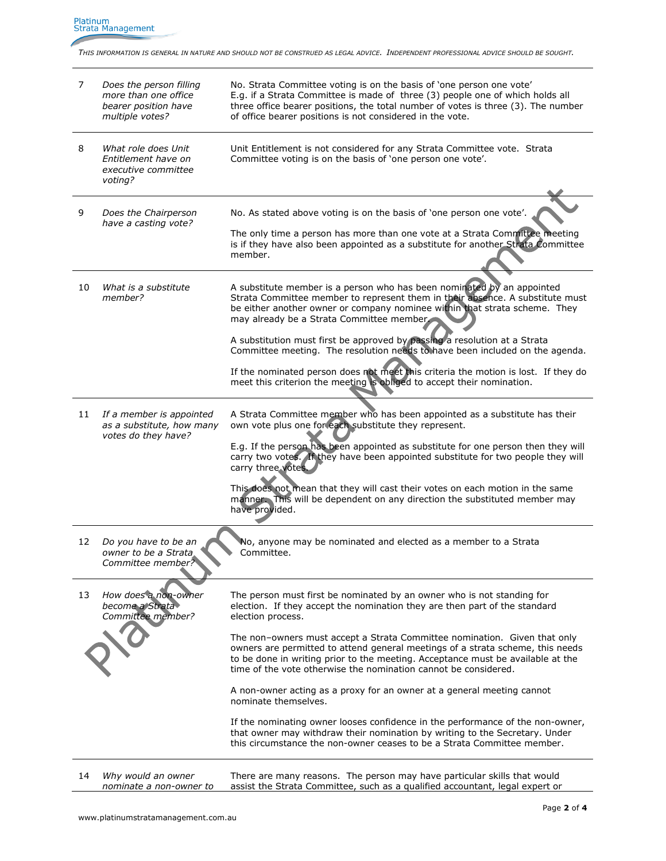Platinum<br>Strata Management

*THIS INFORMATION IS GENERAL IN NATURE AND SHOULD NOT BE CONSTRUED AS LEGAL ADVICE. INDEPENDENT PROFESSIONAL ADVICE SHOULD BE SOUGHT.*

| 7  | Does the person filling<br>more than one office<br>bearer position have<br>multiple votes? | No. Strata Committee voting is on the basis of 'one person one vote'<br>E.g. if a Strata Committee is made of three (3) people one of which holds all<br>three office bearer positions, the total number of votes is three (3). The number<br>of office bearer positions is not considered in the vote.           |
|----|--------------------------------------------------------------------------------------------|-------------------------------------------------------------------------------------------------------------------------------------------------------------------------------------------------------------------------------------------------------------------------------------------------------------------|
| 8  | What role does Unit<br>Entitlement have on<br>executive committee<br>voting?               | Unit Entitlement is not considered for any Strata Committee vote. Strata<br>Committee voting is on the basis of 'one person one vote'.                                                                                                                                                                            |
| 9  | Does the Chairperson<br>have a casting vote?                                               | No. As stated above voting is on the basis of 'one person one vote'.<br>The only time a person has more than one vote at a Strata Committee meeting<br>is if they have also been appointed as a substitute for another Strata Committee<br>member.                                                                |
|    |                                                                                            |                                                                                                                                                                                                                                                                                                                   |
| 10 | What is a substitute<br>member?                                                            | A substitute member is a person who has been nominated by an appointed<br>Strata Committee member to represent them in their absence. A substitute must<br>be either another owner or company nominee within that strata scheme. They<br>may already be a Strata Committee member                                 |
|    |                                                                                            | A substitution must first be approved by passing a resolution at a Strata<br>Committee meeting. The resolution needs to have been included on the agenda.                                                                                                                                                         |
|    |                                                                                            | If the nominated person does not meet this criteria the motion is lost. If they do<br>meet this criterion the meeting is obliged to accept their nomination.                                                                                                                                                      |
| 11 | If a member is appointed<br>as a substitute, how many<br>votes do they have?               | A Strata Committee member who has been appointed as a substitute has their<br>own vote plus one for each substitute they represent.<br>E.g. If the person has been appointed as substitute for one person then they will                                                                                          |
|    |                                                                                            | carry two votes. If they have been appointed substitute for two people they will<br>carry three votes.                                                                                                                                                                                                            |
|    |                                                                                            | This does not mean that they will cast their votes on each motion in the same<br>manner. This will be dependent on any direction the substituted member may<br>have provided.                                                                                                                                     |
| 12 | Do you have to be an<br>owner to be a Strata<br>Committee member?                          | No, anyone may be nominated and elected as a member to a Strata<br>Committee.                                                                                                                                                                                                                                     |
| 13 | How does a non-owner<br>become a Strata<br>Committee member?                               | The person must first be nominated by an owner who is not standing for<br>election. If they accept the nomination they are then part of the standard<br>election process.                                                                                                                                         |
|    |                                                                                            | The non-owners must accept a Strata Committee nomination. Given that only<br>owners are permitted to attend general meetings of a strata scheme, this needs<br>to be done in writing prior to the meeting. Acceptance must be available at the<br>time of the vote otherwise the nomination cannot be considered. |
|    |                                                                                            | A non-owner acting as a proxy for an owner at a general meeting cannot<br>nominate themselves.                                                                                                                                                                                                                    |
|    |                                                                                            | If the nominating owner looses confidence in the performance of the non-owner,<br>that owner may withdraw their nomination by writing to the Secretary. Under<br>this circumstance the non-owner ceases to be a Strata Committee member.                                                                          |
| 14 | Why would an owner<br>nominate a non-owner to                                              | There are many reasons. The person may have particular skills that would<br>assist the Strata Committee, such as a qualified accountant, legal expert or                                                                                                                                                          |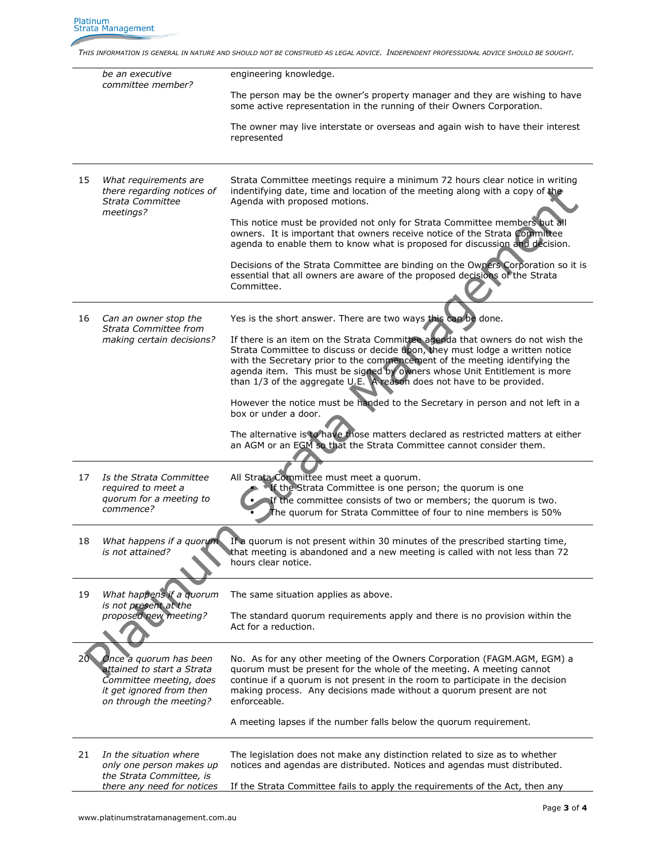*THIS INFORMATION IS GENERAL IN NATURE AND SHOULD NOT BE CONSTRUED AS LEGAL ADVICE. INDEPENDENT PROFESSIONAL ADVICE SHOULD BE SOUGHT.*

|     | be an executive<br>committee member?                                                                                                   | engineering knowledge.                                                                                                                                                                                                                                                                                                                                                                              |
|-----|----------------------------------------------------------------------------------------------------------------------------------------|-----------------------------------------------------------------------------------------------------------------------------------------------------------------------------------------------------------------------------------------------------------------------------------------------------------------------------------------------------------------------------------------------------|
|     |                                                                                                                                        | The person may be the owner's property manager and they are wishing to have<br>some active representation in the running of their Owners Corporation.                                                                                                                                                                                                                                               |
|     |                                                                                                                                        | The owner may live interstate or overseas and again wish to have their interest<br>represented                                                                                                                                                                                                                                                                                                      |
| 15  | What requirements are<br>there regarding notices of<br>Strata Committee<br>meetings?                                                   | Strata Committee meetings require a minimum 72 hours clear notice in writing<br>indentifying date, time and location of the meeting along with a copy of the<br>Agenda with proposed motions.                                                                                                                                                                                                       |
|     |                                                                                                                                        | This notice must be provided not only for Strata Committee members but all<br>owners. It is important that owners receive notice of the Strata Committee<br>agenda to enable them to know what is proposed for discussion and decision.                                                                                                                                                             |
|     |                                                                                                                                        | Decisions of the Strata Committee are binding on the Owners Corporation so it is<br>essential that all owners are aware of the proposed decisions of the Strata<br>Committee.                                                                                                                                                                                                                       |
| 16  | Can an owner stop the<br>Strata Committee from<br>making certain decisions?                                                            | Yes is the short answer. There are two ways this can be done.                                                                                                                                                                                                                                                                                                                                       |
|     |                                                                                                                                        | If there is an item on the Strata Committee agenda that owners do not wish the<br>Strata Committee to discuss or decide upon, they must lodge a written notice<br>with the Secretary prior to the commencement of the meeting identifying the<br>agenda item. This must be signed by owners whose Unit Entitlement is more<br>than 1/3 of the aggregate U.E. A reason does not have to be provided. |
|     |                                                                                                                                        | However the notice must be handed to the Secretary in person and not left in a<br>box or under a door.                                                                                                                                                                                                                                                                                              |
|     |                                                                                                                                        | The alternative is to have those matters declared as restricted matters at either<br>an AGM or an EGM so that the Strata Committee cannot consider them.                                                                                                                                                                                                                                            |
| 17  | Is the Strata Committee<br>required to meet a<br>quorum for a meeting to<br>commence?                                                  | All Strata Committee must meet a quorum.<br>If the Strata Committee is one person; the quorum is one<br>If the committee consists of two or members; the quorum is two.<br>he quorum for Strata Committee of four to nine members is 50%                                                                                                                                                            |
| 18  | is not attained?                                                                                                                       | What happens if a quorum If a quorum is not present within 30 minutes of the prescribed starting time,<br>that meeting is abandoned and a new meeting is called with not less than 72<br>hours clear notice.                                                                                                                                                                                        |
| 19  | What happens if a quorum<br>is not present at the                                                                                      | The same situation applies as above.                                                                                                                                                                                                                                                                                                                                                                |
|     | proposed new meeting?                                                                                                                  | The standard quorum requirements apply and there is no provision within the<br>Act for a reduction.                                                                                                                                                                                                                                                                                                 |
| 20. | Once a quorum has been<br>attained to start a Strata<br>Committee meeting, does<br>it get ignored from then<br>on through the meeting? | No. As for any other meeting of the Owners Corporation (FAGM.AGM, EGM) a<br>quorum must be present for the whole of the meeting. A meeting cannot<br>continue if a quorum is not present in the room to participate in the decision<br>making process. Any decisions made without a quorum present are not<br>enforceable.                                                                          |
|     |                                                                                                                                        | A meeting lapses if the number falls below the quorum requirement.                                                                                                                                                                                                                                                                                                                                  |
| 21  | In the situation where<br>only one person makes up<br>the Strata Committee, is                                                         | The legislation does not make any distinction related to size as to whether<br>notices and agendas are distributed. Notices and agendas must distributed.                                                                                                                                                                                                                                           |
|     | there any need for notices                                                                                                             | If the Strata Committee fails to apply the requirements of the Act, then any                                                                                                                                                                                                                                                                                                                        |